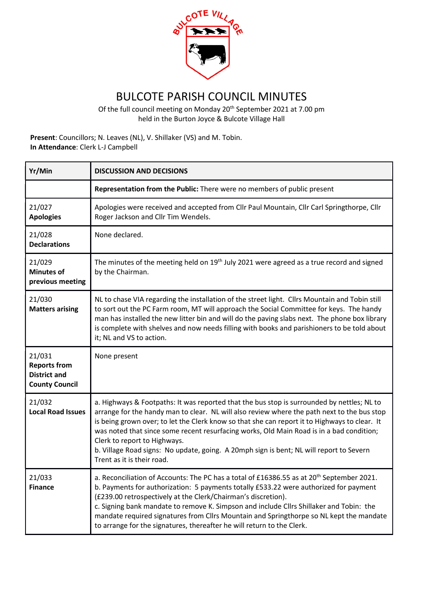

## BULCOTE PARISH COUNCIL MINUTES

Of the full council meeting on Monday 20th September 2021 at 7.00 pm held in the Burton Joyce & Bulcote Village Hall

Present: Councillors; N. Leaves (NL), V. Shillaker (VS) and M. Tobin. In Attendance: Clerk L-J Campbell

| Yr/Min                                                                        | <b>DISCUSSION AND DECISIONS</b>                                                                                                                                                                                                                                                                                                                                                                                                                                                                                                                 |
|-------------------------------------------------------------------------------|-------------------------------------------------------------------------------------------------------------------------------------------------------------------------------------------------------------------------------------------------------------------------------------------------------------------------------------------------------------------------------------------------------------------------------------------------------------------------------------------------------------------------------------------------|
|                                                                               | Representation from the Public: There were no members of public present                                                                                                                                                                                                                                                                                                                                                                                                                                                                         |
| 21/027<br><b>Apologies</b>                                                    | Apologies were received and accepted from Cllr Paul Mountain, Cllr Carl Springthorpe, Cllr<br>Roger Jackson and Cllr Tim Wendels.                                                                                                                                                                                                                                                                                                                                                                                                               |
| 21/028<br><b>Declarations</b>                                                 | None declared.                                                                                                                                                                                                                                                                                                                                                                                                                                                                                                                                  |
| 21/029<br><b>Minutes of</b><br>previous meeting                               | The minutes of the meeting held on $19th$ July 2021 were agreed as a true record and signed<br>by the Chairman.                                                                                                                                                                                                                                                                                                                                                                                                                                 |
| 21/030<br><b>Matters arising</b>                                              | NL to chase VIA regarding the installation of the street light. Cllrs Mountain and Tobin still<br>to sort out the PC Farm room, MT will approach the Social Committee for keys. The handy<br>man has installed the new litter bin and will do the paving slabs next. The phone box library<br>is complete with shelves and now needs filling with books and parishioners to be told about<br>it; NL and VS to action.                                                                                                                           |
| 21/031<br><b>Reports from</b><br><b>District and</b><br><b>County Council</b> | None present                                                                                                                                                                                                                                                                                                                                                                                                                                                                                                                                    |
| 21/032<br><b>Local Road Issues</b>                                            | a. Highways & Footpaths: It was reported that the bus stop is surrounded by nettles; NL to<br>arrange for the handy man to clear. NL will also review where the path next to the bus stop<br>is being grown over; to let the Clerk know so that she can report it to Highways to clear. It<br>was noted that since some recent resurfacing works, Old Main Road is in a bad condition;<br>Clerk to report to Highways.<br>b. Village Road signs: No update, going. A 20mph sign is bent; NL will report to Severn<br>Trent as it is their road. |
| 21/033<br><b>Finance</b>                                                      | a. Reconciliation of Accounts: The PC has a total of £16386.55 as at 20th September 2021<br>b. Payments for authorization: 5 payments totally £533.22 were authorized for payment<br>(£239.00 retrospectively at the Clerk/Chairman's discretion).<br>c. Signing bank mandate to remove K. Simpson and include Cllrs Shillaker and Tobin: the<br>mandate required signatures from Cllrs Mountain and Springthorpe so NL kept the mandate<br>to arrange for the signatures, thereafter he will return to the Clerk.                              |